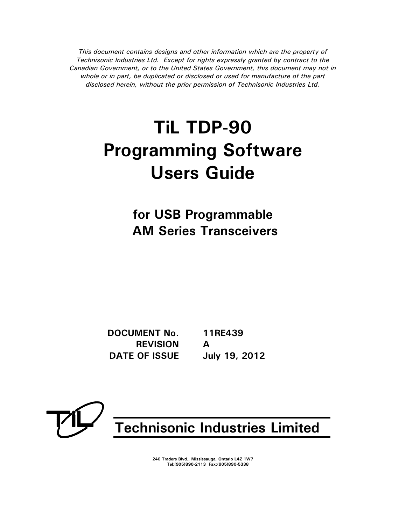*This document contains designs and other information which are the property of Technisonic Industries Ltd. Except for rights expressly granted by contract to the Canadian Government, or to the United States Government, this document may not in whole or in part, be duplicated or disclosed or used for manufacture of the part disclosed herein, without the prior permission of Technisonic Industries Ltd.*

# **TiL TDP-90 Programming Software Users Guide**

**for USB Programmable AM Series Transceivers** 

**DOCUMENT No. 11RE439 REVISION A DATE OF ISSUE July 19, 2012**



**Technisonic Industries Limited**

**240 Traders Blvd., Mississauga, Ontario L4Z 1W7 Tel:(905)890-2113 Fax:(905)890-5338**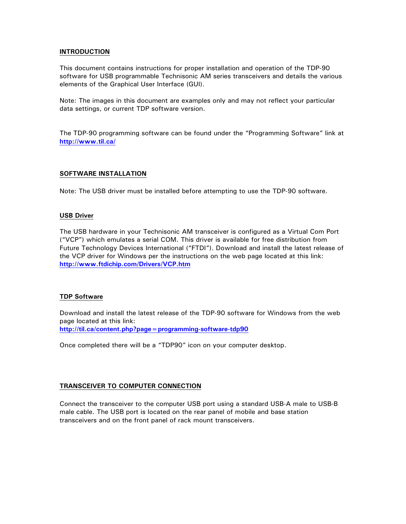#### **INTRODUCTION**

This document contains instructions for proper installation and operation of the TDP-90 software for USB programmable Technisonic AM series transceivers and details the various elements of the Graphical User Interface (GUI).

Note: The images in this document are examples only and may not reflect your particular data settings, or current TDP software version.

The TDP-90 programming software can be found under the "Programming Software" link at **<http://www.til.ca/>**

#### **SOFTWARE INSTALLATION**

Note: The USB driver must be installed before attempting to use the TDP-90 software.

#### **USB Driver**

The USB hardware in your Technisonic AM transceiver is configured as a Virtual Com Port ("VCP") which emulates a serial COM. This driver is available for free distribution from Future Technology Devices International ("FTDI"). Download and install the latest release of the VCP driver for Windows per the instructions on the web page located at this link: **<http://www.ftdichip.com/Drivers/VCP.htm>**

#### **TDP Software**

Download and install the latest release of the TDP-90 software for Windows from the web page located at this link: **<http://til.ca/content.php?page=programming-software-tdp90>**

Once completed there will be a "TDP90" icon on your computer desktop.

#### **TRANSCEIVER TO COMPUTER CONNECTION**

Connect the transceiver to the computer USB port using a standard USB-A male to USB-B male cable. The USB port is located on the rear panel of mobile and base station transceivers and on the front panel of rack mount transceivers.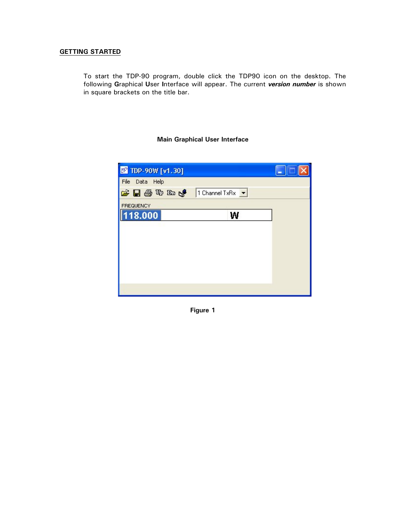# **GETTING STARTED**

To start the TDP-90 program, double click the TDP90 icon on the desktop. The following **G**raphical **U**ser **I**nterface will appear. The current *version number* is shown in square brackets on the title bar.

# **Main Graphical User Interface**

| <b>B</b> TDP-90W [v1.30] |                                      |
|--------------------------|--------------------------------------|
| File Data Help           |                                      |
| 中国委协助人                   | 1 Channel TxRx $\vert \bullet \vert$ |
| <b>FREQUENCY</b>         |                                      |
| 118.000                  | W                                    |
|                          |                                      |
|                          |                                      |
|                          |                                      |
|                          |                                      |
|                          |                                      |
|                          |                                      |
|                          |                                      |

**Figure 1**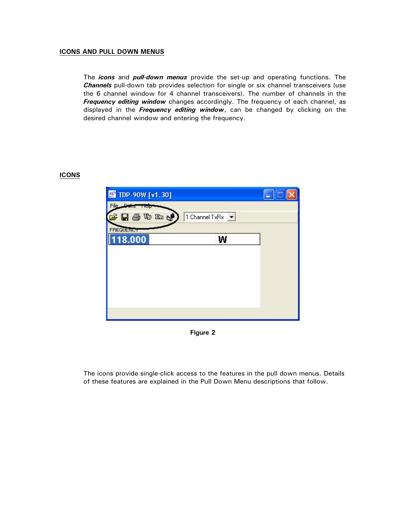## **ICONS AND PULL DOWN MENUS**

The *icons* and *pull-down menus* provide the set-up and operating functions. The *Channels* pull-down tab provides selection for single or six channel transceivers (use the 6 channel window for 4 channel transceivers). The number of channels in the *Frequency editing window* changes accordingly. The frequency of each channel, as displayed in the *Frequency editing window*, can be changed by clicking on the desired channel window and entering the frequency.

# **ICONS**



**Figure 2** 

The icons provide single-click access to the features in the pull down menus. Details of these features are explained in the Pull Down Menu descriptions that follow.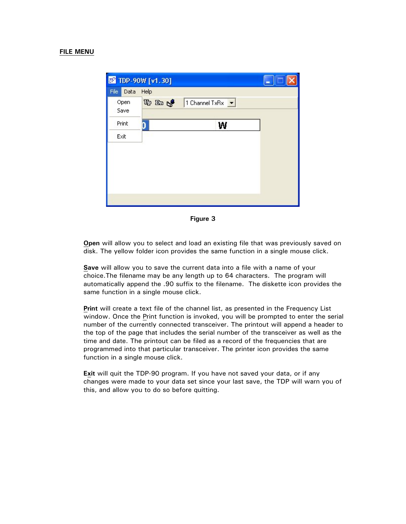#### **FILE MENU**

|              | <b>B</b> TDP-90W [v1.30]                                         |  |
|--------------|------------------------------------------------------------------|--|
| File<br>Data | Help                                                             |  |
| Open         | $\mathbb{F}$ in $\mathbb{C}$<br>1 Channel TxRx $\boxed{\bullet}$ |  |
| Save         |                                                                  |  |
| Print        | W                                                                |  |
| Exit         |                                                                  |  |
|              |                                                                  |  |
|              |                                                                  |  |
|              |                                                                  |  |
|              |                                                                  |  |
|              |                                                                  |  |
|              |                                                                  |  |

**Figure 3** 

**Open** will allow you to select and load an existing file that was previously saved on disk. The yellow folder icon provides the same function in a single mouse click.

**Save** will allow you to save the current data into a file with a name of your choice.The filename may be any length up to 64 characters. The program will automatically append the .90 suffix to the filename. The diskette icon provides the same function in a single mouse click.

**Print** will create a text file of the channel list, as presented in the Frequency List window. Once the Print function is invoked, you will be prompted to enter the serial number of the currently connected transceiver. The printout will append a header to the top of the page that includes the serial number of the transceiver as well as the time and date. The printout can be filed as a record of the frequencies that are programmed into that particular transceiver. The printer icon provides the same function in a single mouse click.

**Exit** will quit the TDP-90 program. If you have not saved your data, or if any changes were made to your data set since your last save, the TDP will warn you of this, and allow you to do so before quitting.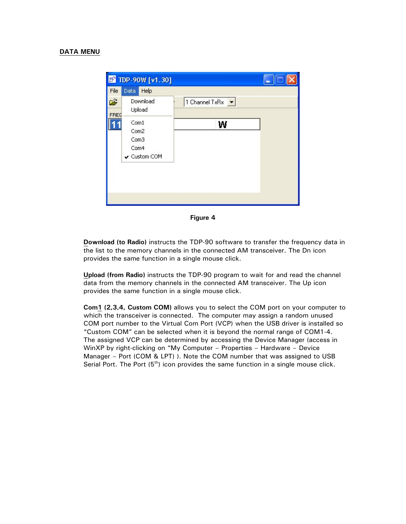|           | <b>B</b> TDP-90W [v1.30]                            |                    |
|-----------|-----------------------------------------------------|--------------------|
| File      | Data<br>Help                                        |                    |
| É<br>FREG | Download<br>Upload                                  | 1 Channel TxRx   v |
|           | Com1<br>Com2<br>Com3<br>Com4<br><b>√</b> Custom COM | W                  |

**Figure 4** 

**Download (to Radio)** instructs the TDP-90 software to transfer the frequency data in the list to the memory channels in the connected AM transceiver. The Dn icon provides the same function in a single mouse click.

**Upload (from Radio)** instructs the TDP-90 program to wait for and read the channel data from the memory channels in the connected AM transceiver. The Up icon provides the same function in a single mouse click.

**Com1 (2,3,4, Custom COM)** allows you to select the COM port on your computer to which the transceiver is connected. The computer may assign a random unused COM port number to the Virtual Com Port (VCP) when the USB driver is installed so "Custom COM" can be selected when it is beyond the normal range of COM1-4. The assigned VCP can be determined by accessing the Device Manager (access in WinXP by right-clicking on "My Computer – Properties – Hardware – Device Manager – Port (COM & LPT) ). Note the COM number that was assigned to USB Serial Port. The Port  $(5<sup>th</sup>)$  icon provides the same function in a single mouse click.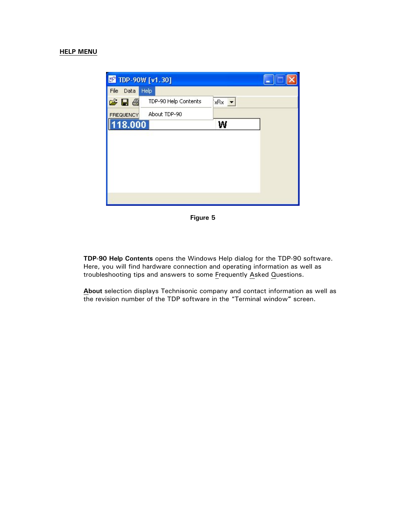

**Figure 5** 

**TDP-90 Help Contents** opens the Windows Help dialog for the TDP-90 software. Here, you will find hardware connection and operating information as well as troubleshooting tips and answers to some Frequently Asked Questions.

**About** selection displays Technisonic company and contact information as well as the revision number of the TDP software in the "Terminal window**"** screen.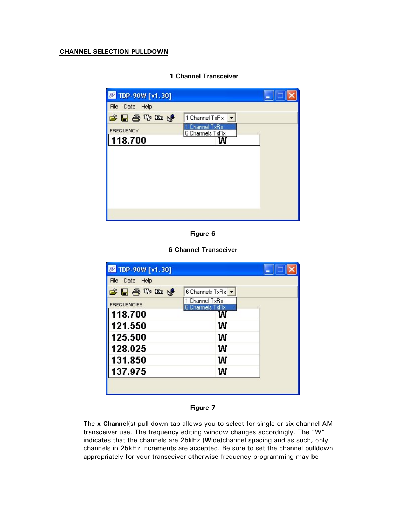# **CHANNEL SELECTION PULLDOWN**

| <b>B</b> TDP-90W [v1.30] |                                 |  |
|--------------------------|---------------------------------|--|
| File Data Help           |                                 |  |
| 宇日季やぬけ                   | 1 Channel TxRx                  |  |
| <b>FREQUENCY</b>         | Channel TxRx<br>6 Channels TxRx |  |
| 118.700                  |                                 |  |
|                          |                                 |  |
|                          |                                 |  |
|                          |                                 |  |
|                          |                                 |  |
|                          |                                 |  |
|                          |                                 |  |
|                          |                                 |  |

## **1 Channel Transceiver**

**Figure 6** 

**6 Channel Transceiver** 

| <b>EF</b> TDP-90W [v1.30] |                                   |  |
|---------------------------|-----------------------------------|--|
| File Data Help            |                                   |  |
| さ日季のめん                    | 6 Channels TxRx ▼                 |  |
| <b>FREQUENCIES</b>        | 1 Channel TxRx<br>6 Channels TxRx |  |
| 118.700                   |                                   |  |
| 121.550                   | W                                 |  |
| 125.500                   | w                                 |  |
| 128.025                   | W                                 |  |
| 131.850                   | W                                 |  |
| 137.975                   | w                                 |  |
|                           |                                   |  |
|                           |                                   |  |

#### **Figure 7**

The **x Channel**(s) pull-down tab allows you to select for single or six channel AM transceiver use. The frequency editing window changes accordingly. The "W" indicates that the channels are 25kHz (**W**ide)channel spacing and as such, only channels in 25kHz increments are accepted. Be sure to set the channel pulldown appropriately for your transceiver otherwise frequency programming may be